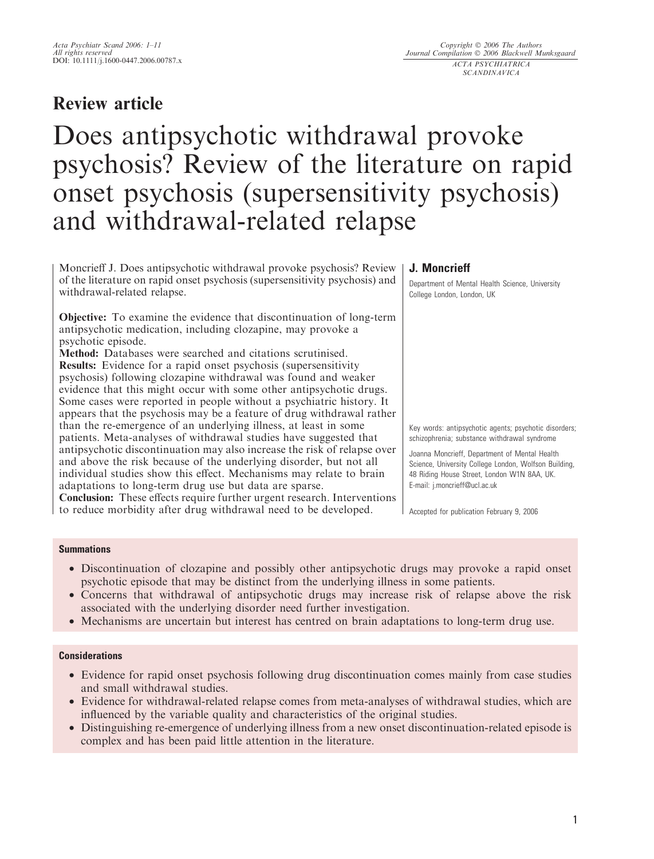# Review article

# Does antipsychotic withdrawal provoke psychosis? Review of the literature on rapid onset psychosis (supersensitivity psychosis) and withdrawal-related relapse

Moncrieff J. Does antipsychotic withdrawal provoke psychosis? Review of the literature on rapid onset psychosis (supersensitivity psychosis) and withdrawal-related relapse.

Objective: To examine the evidence that discontinuation of long-term antipsychotic medication, including clozapine, may provoke a psychotic episode.

Method: Databases were searched and citations scrutinised. Results: Evidence for a rapid onset psychosis (supersensitivity psychosis) following clozapine withdrawal was found and weaker evidence that this might occur with some other antipsychotic drugs. Some cases were reported in people without a psychiatric history. It appears that the psychosis may be a feature of drug withdrawal rather than the re-emergence of an underlying illness, at least in some patients. Meta-analyses of withdrawal studies have suggested that antipsychotic discontinuation may also increase the risk of relapse over and above the risk because of the underlying disorder, but not all individual studies show this effect. Mechanisms may relate to brain adaptations to long-term drug use but data are sparse.

Conclusion: These effects require further urgent research. Interventions to reduce morbidity after drug withdrawal need to be developed.

# J. Moncrieff

Department of Mental Health Science, University College London, London, UK

Key words: antipsychotic agents; psychotic disorders; schizophrenia; substance withdrawal syndrome

Joanna Moncrieff, Department of Mental Health Science, University College London, Wolfson Building, 48 Riding House Street, London W1N 8AA, UK. E-mail: j.moncrieff@ucl.ac.uk

Accepted for publication February 9, 2006

#### Summations

- Discontinuation of clozapine and possibly other antipsychotic drugs may provoke a rapid onset psychotic episode that may be distinct from the underlying illness in some patients.
- Concerns that withdrawal of antipsychotic drugs may increase risk of relapse above the risk associated with the underlying disorder need further investigation.
- Mechanisms are uncertain but interest has centred on brain adaptations to long-term drug use.

#### **Considerations**

- Evidence for rapid onset psychosis following drug discontinuation comes mainly from case studies and small withdrawal studies.
- Evidence for withdrawal-related relapse comes from meta-analyses of withdrawal studies, which are influenced by the variable quality and characteristics of the original studies.
- Distinguishing re-emergence of underlying illness from a new onset discontinuation-related episode is complex and has been paid little attention in the literature.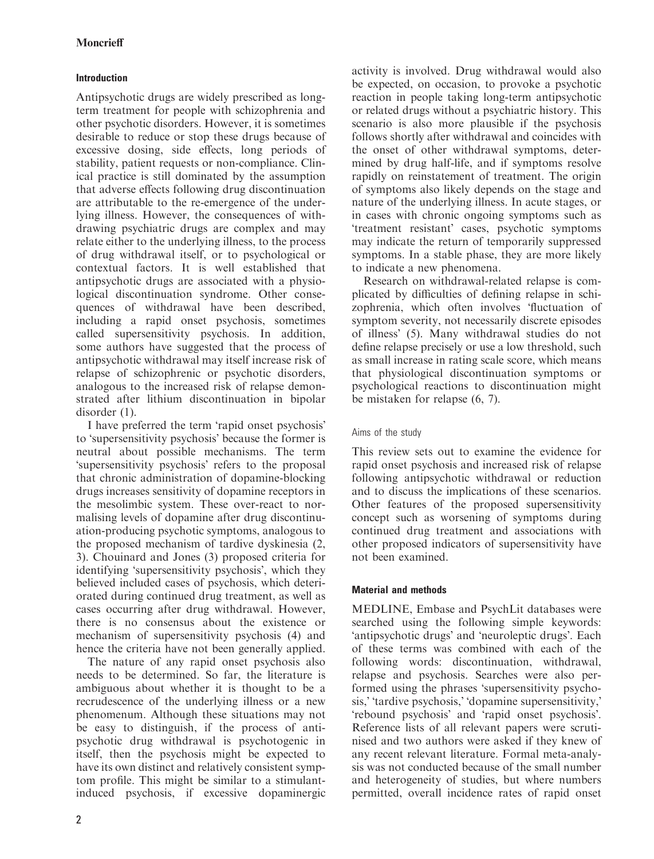# **Moncrieff**

# Introduction

Antipsychotic drugs are widely prescribed as longterm treatment for people with schizophrenia and other psychotic disorders. However, it is sometimes desirable to reduce or stop these drugs because of excessive dosing, side effects, long periods of stability, patient requests or non-compliance. Clinical practice is still dominated by the assumption that adverse effects following drug discontinuation are attributable to the re-emergence of the underlying illness. However, the consequences of withdrawing psychiatric drugs are complex and may relate either to the underlying illness, to the process of drug withdrawal itself, or to psychological or contextual factors. It is well established that antipsychotic drugs are associated with a physiological discontinuation syndrome. Other consequences of withdrawal have been described, including a rapid onset psychosis, sometimes called supersensitivity psychosis. In addition, some authors have suggested that the process of antipsychotic withdrawal may itself increase risk of relapse of schizophrenic or psychotic disorders, analogous to the increased risk of relapse demonstrated after lithium discontinuation in bipolar disorder (1).

I have preferred the term 'rapid onset psychosis' to 'supersensitivity psychosis' because the former is neutral about possible mechanisms. The term 'supersensitivity psychosis' refers to the proposal that chronic administration of dopamine-blocking drugs increases sensitivity of dopamine receptors in the mesolimbic system. These over-react to normalising levels of dopamine after drug discontinuation-producing psychotic symptoms, analogous to the proposed mechanism of tardive dyskinesia (2, 3). Chouinard and Jones (3) proposed criteria for identifying 'supersensitivity psychosis', which they believed included cases of psychosis, which deteriorated during continued drug treatment, as well as cases occurring after drug withdrawal. However, there is no consensus about the existence or mechanism of supersensitivity psychosis (4) and hence the criteria have not been generally applied.

The nature of any rapid onset psychosis also needs to be determined. So far, the literature is ambiguous about whether it is thought to be a recrudescence of the underlying illness or a new phenomenum. Although these situations may not be easy to distinguish, if the process of antipsychotic drug withdrawal is psychotogenic in itself, then the psychosis might be expected to have its own distinct and relatively consistent symptom profile. This might be similar to a stimulantinduced psychosis, if excessive dopaminergic

activity is involved. Drug withdrawal would also be expected, on occasion, to provoke a psychotic reaction in people taking long-term antipsychotic or related drugs without a psychiatric history. This scenario is also more plausible if the psychosis follows shortly after withdrawal and coincides with the onset of other withdrawal symptoms, determined by drug half-life, and if symptoms resolve rapidly on reinstatement of treatment. The origin of symptoms also likely depends on the stage and nature of the underlying illness. In acute stages, or in cases with chronic ongoing symptoms such as 'treatment resistant' cases, psychotic symptoms may indicate the return of temporarily suppressed symptoms. In a stable phase, they are more likely to indicate a new phenomena.

Research on withdrawal-related relapse is complicated by difficulties of defining relapse in schizophrenia, which often involves 'fluctuation of symptom severity, not necessarily discrete episodes of illness' (5). Many withdrawal studies do not define relapse precisely or use a low threshold, such as small increase in rating scale score, which means that physiological discontinuation symptoms or psychological reactions to discontinuation might be mistaken for relapse (6, 7).

# Aims of the study

This review sets out to examine the evidence for rapid onset psychosis and increased risk of relapse following antipsychotic withdrawal or reduction and to discuss the implications of these scenarios. Other features of the proposed supersensitivity concept such as worsening of symptoms during continued drug treatment and associations with other proposed indicators of supersensitivity have not been examined.

# Material and methods

MEDLINE, Embase and PsychLit databases were searched using the following simple keywords: 'antipsychotic drugs' and 'neuroleptic drugs'. Each of these terms was combined with each of the following words: discontinuation, withdrawal, relapse and psychosis. Searches were also performed using the phrases 'supersensitivity psychosis,' tardive psychosis,' dopamine supersensitivity,' 'rebound psychosis' and 'rapid onset psychosis'. Reference lists of all relevant papers were scrutinised and two authors were asked if they knew of any recent relevant literature. Formal meta-analysis was not conducted because of the small number and heterogeneity of studies, but where numbers permitted, overall incidence rates of rapid onset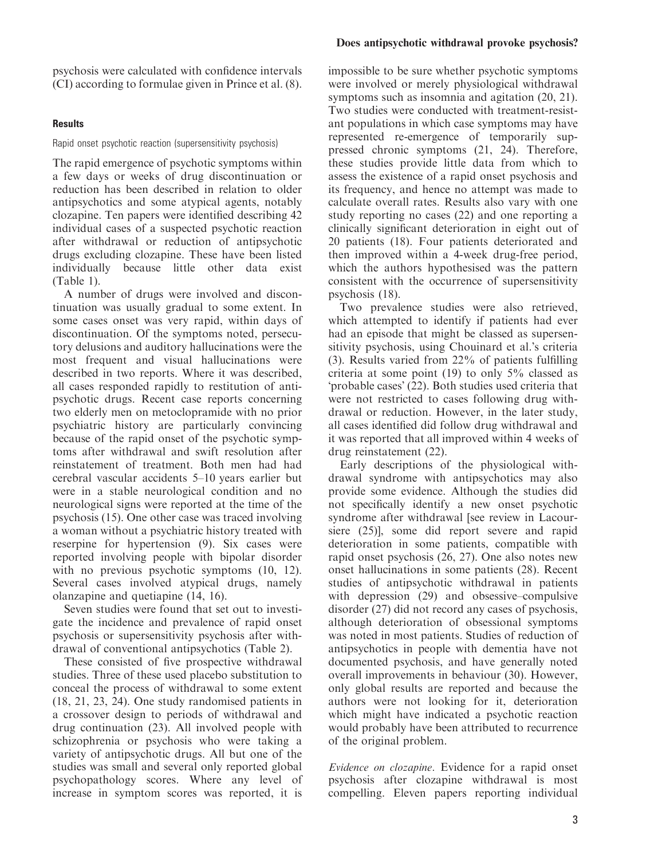psychosis were calculated with confidence intervals (CI) according to formulae given in Prince et al. (8).

# **Results**

## Rapid onset psychotic reaction (supersensitivity psychosis)

The rapid emergence of psychotic symptoms within a few days or weeks of drug discontinuation or reduction has been described in relation to older antipsychotics and some atypical agents, notably clozapine. Ten papers were identified describing 42 individual cases of a suspected psychotic reaction after withdrawal or reduction of antipsychotic drugs excluding clozapine. These have been listed individually because little other data exist (Table 1).

A number of drugs were involved and discontinuation was usually gradual to some extent. In some cases onset was very rapid, within days of discontinuation. Of the symptoms noted, persecutory delusions and auditory hallucinations were the most frequent and visual hallucinations were described in two reports. Where it was described, all cases responded rapidly to restitution of antipsychotic drugs. Recent case reports concerning two elderly men on metoclopramide with no prior psychiatric history are particularly convincing because of the rapid onset of the psychotic symptoms after withdrawal and swift resolution after reinstatement of treatment. Both men had had cerebral vascular accidents 5–10 years earlier but were in a stable neurological condition and no neurological signs were reported at the time of the psychosis (15). One other case was traced involving a woman without a psychiatric history treated with reserpine for hypertension (9). Six cases were reported involving people with bipolar disorder with no previous psychotic symptoms  $(10, 12)$ . Several cases involved atypical drugs, namely olanzapine and quetiapine (14, 16).

Seven studies were found that set out to investigate the incidence and prevalence of rapid onset psychosis or supersensitivity psychosis after withdrawal of conventional antipsychotics (Table 2).

These consisted of five prospective withdrawal studies. Three of these used placebo substitution to conceal the process of withdrawal to some extent (18, 21, 23, 24). One study randomised patients in a crossover design to periods of withdrawal and drug continuation (23). All involved people with schizophrenia or psychosis who were taking a variety of antipsychotic drugs. All but one of the studies was small and several only reported global psychopathology scores. Where any level of increase in symptom scores was reported, it is

impossible to be sure whether psychotic symptoms were involved or merely physiological withdrawal symptoms such as insomnia and agitation (20, 21). Two studies were conducted with treatment-resistant populations in which case symptoms may have represented re-emergence of temporarily suppressed chronic symptoms (21, 24). Therefore, these studies provide little data from which to assess the existence of a rapid onset psychosis and its frequency, and hence no attempt was made to calculate overall rates. Results also vary with one study reporting no cases (22) and one reporting a clinically significant deterioration in eight out of 20 patients (18). Four patients deteriorated and then improved within a 4-week drug-free period, which the authors hypothesised was the pattern consistent with the occurrence of supersensitivity psychosis (18).

Two prevalence studies were also retrieved, which attempted to identify if patients had ever had an episode that might be classed as supersensitivity psychosis, using Chouinard et al.'s criteria (3). Results varied from 22% of patients fulfilling criteria at some point (19) to only 5% classed as 'probable cases' (22). Both studies used criteria that were not restricted to cases following drug withdrawal or reduction. However, in the later study, all cases identified did follow drug withdrawal and it was reported that all improved within 4 weeks of drug reinstatement (22).

Early descriptions of the physiological withdrawal syndrome with antipsychotics may also provide some evidence. Although the studies did not specifically identify a new onset psychotic syndrome after withdrawal [see review in Lacoursiere (25)], some did report severe and rapid deterioration in some patients, compatible with rapid onset psychosis (26, 27). One also notes new onset hallucinations in some patients (28). Recent studies of antipsychotic withdrawal in patients with depression (29) and obsessive–compulsive disorder (27) did not record any cases of psychosis, although deterioration of obsessional symptoms was noted in most patients. Studies of reduction of antipsychotics in people with dementia have not documented psychosis, and have generally noted overall improvements in behaviour (30). However, only global results are reported and because the authors were not looking for it, deterioration which might have indicated a psychotic reaction would probably have been attributed to recurrence of the original problem.

Evidence on clozapine. Evidence for a rapid onset psychosis after clozapine withdrawal is most compelling. Eleven papers reporting individual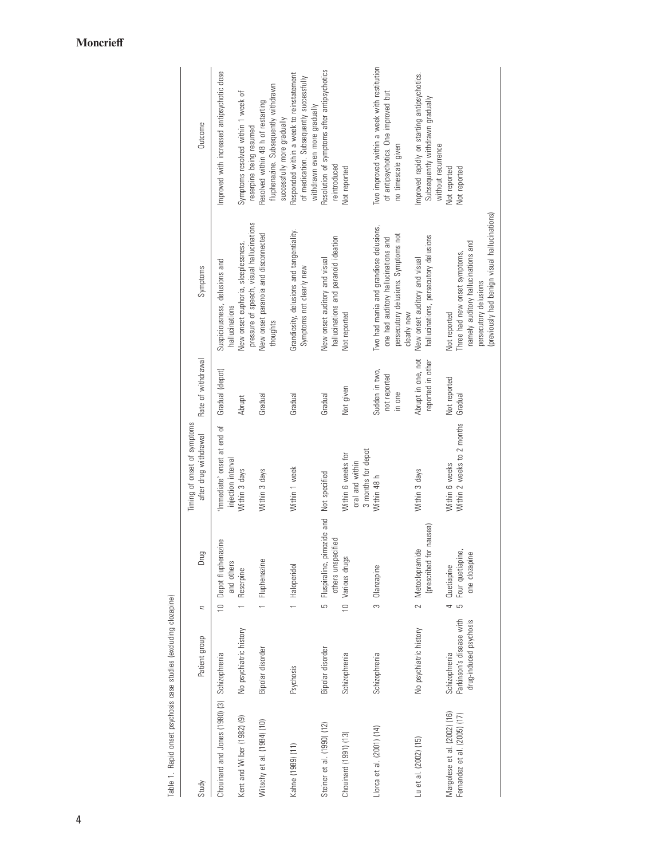| Table 1. Rapid onset psychosis case studies (excluding clozapine) |                                                                     |                                                                     |                |                                                             |                                          |                                                                                                                                                               |                                                                                                                       |
|-------------------------------------------------------------------|---------------------------------------------------------------------|---------------------------------------------------------------------|----------------|-------------------------------------------------------------|------------------------------------------|---------------------------------------------------------------------------------------------------------------------------------------------------------------|-----------------------------------------------------------------------------------------------------------------------|
| Study                                                             | Patient group                                                       | Ξ<br>И                                                              | $\overline{C}$ | Timing of onset of symptoms<br>after drug withdrawal        | Rate of withdrawal                       | Symptoms                                                                                                                                                      | Outcome                                                                                                               |
| Chouinard and Jones (1980) (3)                                    | Schizophrenia                                                       | Depot fluphenazine<br>and others<br>$\approx$                       |                | 'Immediate' onset at end of<br>injection interval           | Gradual (depot)                          | Suspiciousness, delusions and<br>hallucinations                                                                                                               | Improved with increased antipsychotic dose                                                                            |
| Kent and Wilber (1982) (9)                                        | No psychiatric history                                              | Reserpine                                                           |                | Within 3 days                                               | Abrupt                                   | pressure of speech, visual hallucinations<br>New onset euphoria, sleeplessness,                                                                               | Symptoms resolved within 1 week of<br>reserpine being resumed                                                         |
| Witschy et al. (1984) (10)                                        | Bipolar disorder                                                    | 1 Fluphenazine                                                      |                | Within 3 days                                               | Gradual                                  | New onset paranoia and disconnected<br>thoughts                                                                                                               | fluphenazine. Subsequently withdrawn<br>Resolved within 48 h of restarting<br>successfully more gradually             |
| Kahne (1989) (11)                                                 | Psychosis                                                           | Haloperidol                                                         |                | Within 1 week                                               | Gradual                                  | Grandiosity, delusions and tangentiality.<br>Symptoms not clearly new                                                                                         | Responded within a week to reinstatement<br>of medication. Subsequently successfully<br>withdrawn even more gradually |
| Steiner et al. (1990) (12)                                        | Bipolar disorder                                                    | Fluspiraline, pimozide and Not specified<br>others unspecified<br>5 |                |                                                             | Gradual                                  | hallucinations and paranoid ideation<br>New onset auditory and visual                                                                                         | Resolution of symptoms after antipsychotics<br>reintroduced                                                           |
| Chouinard (1991) (13)                                             | Schizophrenia                                                       | Various drugs<br>$\supseteq$                                        |                | 3 months for depot<br>Within 6 weeks for<br>oral and within | Not given                                | Not reported                                                                                                                                                  | Not reported                                                                                                          |
| Llorca et al. (2001) (14)                                         | Schizophrenia                                                       | Olanzapine<br>$\infty$                                              |                | Within 48 h                                                 | Sudden in two,<br>not reported<br>in one | Two had mania and grandiose delusions,<br>persecutory delusions. Symptoms not<br>one had auditory hallucinations and<br>clearly new                           | Two improved within a week with restitution<br>of antipsychotics. One improved but<br>no timescale given              |
| Lu et al. (2002) (15)                                             | No psychiatric history                                              | (prescribed for nausea)<br>Metoclopramide<br>$\sim$                 |                | Within 3 days                                               | Abrupt in one, not<br>reported in other  | hallucinations, persecutory delusions<br>New onset auditory and visual                                                                                        | Improved rapidly on starting antipsychotics.<br>Subsequently withdrawn gradually<br>without recurrence                |
| Margolese et al. (2002) (16)<br>Femandez et al. (2005) (17)       | Parkinson's disease with<br>drug-induced psychosis<br>Schizophrenia | Four quetiapine,<br>one clozapine<br>Quetiapine<br>4<br>LO          |                | Within 2 weeks to 2 months<br>Within 6 weeks                | Not reported<br>Gradual                  | (previously had benign visual hallucinations)<br>namely auditory hallucinations and<br>Three had new onset symptoms,<br>persecutory delusions<br>Not reported | Not reported<br>Not reported                                                                                          |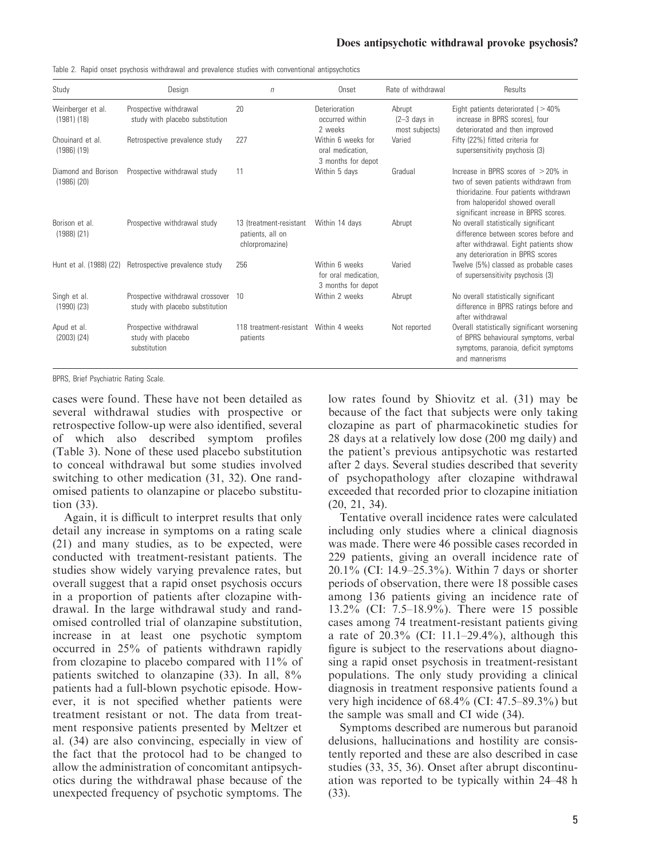| Table 2. Rapid onset psychosis withdrawal and prevalence studies with conventional antipsychotics |  |  |
|---------------------------------------------------------------------------------------------------|--|--|
|---------------------------------------------------------------------------------------------------|--|--|

| Study                                  | Design                                                                 | $\eta$                                                         | Onset                                                        | Rate of withdrawal                         | Results                                                                                                                                                                                           |
|----------------------------------------|------------------------------------------------------------------------|----------------------------------------------------------------|--------------------------------------------------------------|--------------------------------------------|---------------------------------------------------------------------------------------------------------------------------------------------------------------------------------------------------|
| Weinberger et al.<br>$(1981)$ $(18)$   | Prospective withdrawal<br>study with placebo substitution              | 20                                                             | Deterioration<br>occurred within<br>2 weeks                  | Abrupt<br>$(2-3$ days in<br>most subjects) | Eight patients deteriorated ( $>40\%$<br>increase in BPRS scores), four<br>deteriorated and then improved                                                                                         |
| Chouinard et al.<br>$(1986)$ $(19)$    | Retrospective prevalence study                                         | 227                                                            | Within 6 weeks for<br>oral medication.<br>3 months for depot | Varied                                     | Fifty (22%) fitted criteria for<br>supersensitivity psychosis (3)                                                                                                                                 |
| Diamond and Borison<br>$(1986)$ $(20)$ | Prospective withdrawal study                                           | 11                                                             | Within 5 days                                                | Gradual                                    | Increase in RPRS scores of $>20\%$ in<br>two of seven patients withdrawn from<br>thioridazine. Four patients withdrawn<br>from haloperidol showed overall<br>significant increase in BPRS scores. |
| Borison et al.<br>$(1988)$ $(21)$      | Prospective withdrawal study                                           | 13 (treatment-resistant<br>patients, all on<br>chlorpromazine) | Within 14 days                                               | Abrupt                                     | No overall statistically significant<br>difference between scores before and<br>after withdrawal. Eight patients show<br>any deterioration in BPRS scores                                         |
| Hunt et al. (1988) (22)                | Retrospective prevalence study                                         | 256                                                            | Within 6 weeks<br>for oral medication.<br>3 months for depot | Varied                                     | Twelve (5%) classed as probable cases<br>of supersensitivity psychosis (3)                                                                                                                        |
| Singh et al.<br>$(1990)$ $(23)$        | Prospective withdrawal crossover 10<br>study with placebo substitution |                                                                | Within 2 weeks                                               | Abrupt                                     | No overall statistically significant<br>difference in BPRS ratings before and<br>after withdrawal                                                                                                 |
| Apud et al.<br>$(2003)$ $(24)$         | Prospective withdrawal<br>study with placebo<br>substitution           | 118 treatment-resistant Within 4 weeks<br>patients             |                                                              | Not reported                               | Overall statistically significant worsening<br>of BPRS behavioural symptoms, verbal<br>symptoms, paranoia, deficit symptoms<br>and mannerisms                                                     |

BPRS, Brief Psychiatric Rating Scale.

cases were found. These have not been detailed as several withdrawal studies with prospective or retrospective follow-up were also identified, several of which also described symptom profiles (Table 3). None of these used placebo substitution to conceal withdrawal but some studies involved switching to other medication (31, 32). One randomised patients to olanzapine or placebo substitution (33).

Again, it is difficult to interpret results that only detail any increase in symptoms on a rating scale (21) and many studies, as to be expected, were conducted with treatment-resistant patients. The studies show widely varying prevalence rates, but overall suggest that a rapid onset psychosis occurs in a proportion of patients after clozapine withdrawal. In the large withdrawal study and randomised controlled trial of olanzapine substitution, increase in at least one psychotic symptom occurred in 25% of patients withdrawn rapidly from clozapine to placebo compared with 11% of patients switched to olanzapine (33). In all, 8% patients had a full-blown psychotic episode. However, it is not specified whether patients were treatment resistant or not. The data from treatment responsive patients presented by Meltzer et al. (34) are also convincing, especially in view of the fact that the protocol had to be changed to allow the administration of concomitant antipsychotics during the withdrawal phase because of the unexpected frequency of psychotic symptoms. The

low rates found by Shiovitz et al. (31) may be because of the fact that subjects were only taking clozapine as part of pharmacokinetic studies for 28 days at a relatively low dose (200 mg daily) and the patient's previous antipsychotic was restarted after 2 days. Several studies described that severity of psychopathology after clozapine withdrawal exceeded that recorded prior to clozapine initiation (20, 21, 34).

Tentative overall incidence rates were calculated including only studies where a clinical diagnosis was made. There were 46 possible cases recorded in 229 patients, giving an overall incidence rate of 20.1% (CI: 14.9–25.3%). Within 7 days or shorter periods of observation, there were 18 possible cases among 136 patients giving an incidence rate of 13.2% (CI: 7.5–18.9%). There were 15 possible cases among 74 treatment-resistant patients giving a rate of  $20.3\%$  (CI: 11.1–29.4%), although this figure is subject to the reservations about diagnosing a rapid onset psychosis in treatment-resistant populations. The only study providing a clinical diagnosis in treatment responsive patients found a very high incidence of  $68.4\%$  (CI:  $47.5-89.3\%$ ) but the sample was small and CI wide (34).

Symptoms described are numerous but paranoid delusions, hallucinations and hostility are consistently reported and these are also described in case studies (33, 35, 36). Onset after abrupt discontinuation was reported to be typically within 24–48 h (33).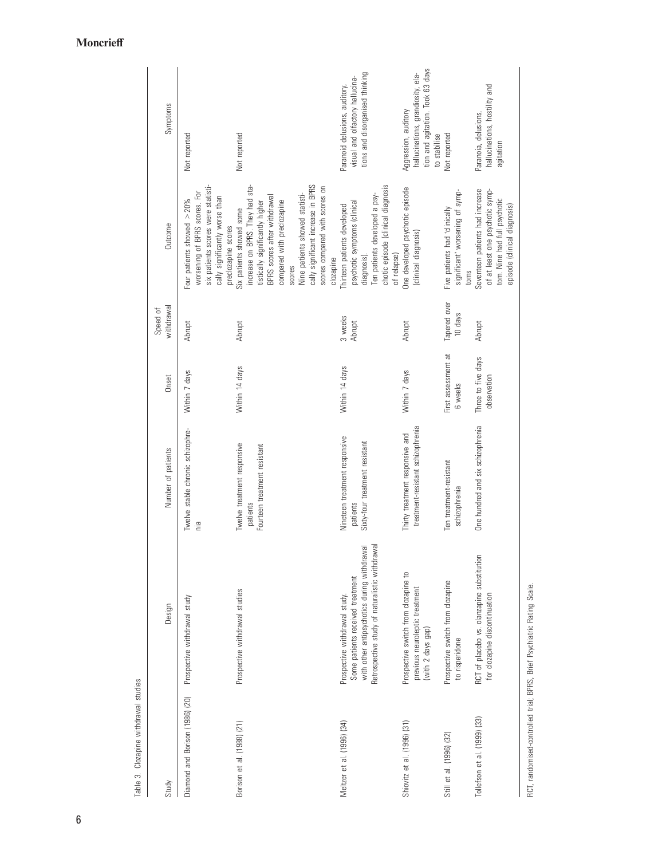| Study                           | Design                                                                                                                                                             | Number of patients                                                          | Onset                             | withdrawal<br>Speed of  | Outcome                                                                                                                                                                                                                                                                                       | Symptoms                                                                                                      |
|---------------------------------|--------------------------------------------------------------------------------------------------------------------------------------------------------------------|-----------------------------------------------------------------------------|-----------------------------------|-------------------------|-----------------------------------------------------------------------------------------------------------------------------------------------------------------------------------------------------------------------------------------------------------------------------------------------|---------------------------------------------------------------------------------------------------------------|
| Diamond and Borison (1986) (20) | Prospective withdrawal study                                                                                                                                       | Iwelve stable chronic schizophre-<br>nia                                    | Within 7 days                     | Abrupt                  | six patients scores were statisti-<br>worsening of BPRS scores. For<br>cally significantly worse than<br>Four patients showed $>$ 20%<br>preclozapine scores                                                                                                                                  | Not reported                                                                                                  |
| Borison et al. (1988) (21)      | Prospective withdrawal studies                                                                                                                                     | Twelve treatment responsive<br>Fourteen treatment resistant<br>patients     | Within 14 days                    | Abrupt                  | cally significant increase in BPRS<br>increase on BPRS. They had sta-<br>scores compared with scores on<br>Nine patients showed statisti-<br>BPRS scores after withdrawal<br>compared with preclozapine<br>tistically significantly higher<br>Six patients showed some<br>clozapine<br>scores | Not reported                                                                                                  |
| Meltzer et al. (1996) (34)      | Retrospective study of naturalistic withdrawal<br>with other antipsychotics during withdrawal<br>Some patients received treatment<br>Prospective withdrawal study. | Nineteen treatment responsive<br>Sixty-four treatment resistant<br>patients | Within 14 days                    | 3 weeks<br>Abrupt       | chotic episode (clinical diagnosis<br>Ten patients developed a psy-<br>psychotic symptoms (clinical<br>Thirteen patients developed<br>of relapse)<br>diagnosis).                                                                                                                              | tions and disorganised thinking<br>visual and olfactory hallucina-<br>Paranoid delusions, auditory,           |
| Shiovitz et al. (1996) (31)     | Prospective switch from clozapine to<br>previous neuroleptic treatment<br>(with 2 days gap)                                                                        | treatment-resistant schizophrenia<br>Thirty treatment responsive and        | Within 7 days                     | Abrupt                  | One developed psychotic episode<br>(clinical diagnosis)                                                                                                                                                                                                                                       | tion and agitation. Took 63 days<br>hallucinations, grandiosity, ela-<br>Aggression, auditory<br>to stabilise |
| Still et al. (1996) (32)        | Prospective switch from clozapine<br>to risperidone                                                                                                                | Ten treatment-resistant<br>schizophrenia                                    | First assessment at<br>6 weeks    | Tapered over<br>10 days | significant' worsening of symp-<br>Five patients had 'clinically<br>toms                                                                                                                                                                                                                      | <b>Vot reported</b>                                                                                           |
| Tollefson et al. (1999) (33)    | RCT of placebo vs. olanzapine substitution<br>for clozapine discontinuation                                                                                        | One hundred and six schizophrenia                                           | Three to five days<br>observation | Abrupt                  | Seventeen patients had increase<br>of at least one psychotic symp-<br>tom. Nine had full psychotic<br>episode (clinical diagnosis)                                                                                                                                                            | hallucinations, hostility and<br>Paranoia, delusions,<br>agitation                                            |

RCT, randomised-controlled trial; BPRS, Brief Psychiatric Rating Scale.

RCT, randomised-controlled trial; BPRS, Brief Psychiatric Rating Scale.

Table 3. Clozapine withdrawal studies Table 3. Clozapine withdrawal studies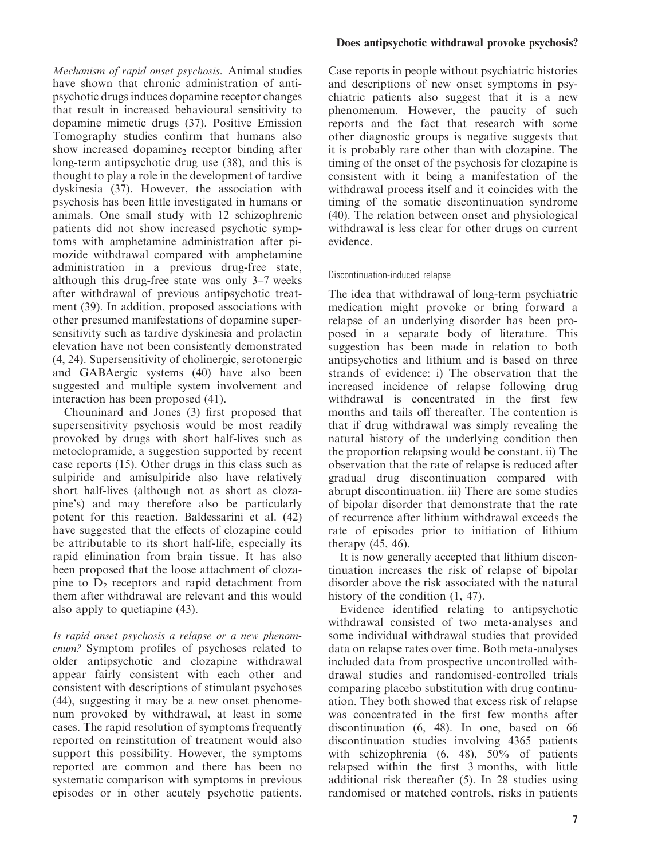Mechanism of rapid onset psychosis. Animal studies have shown that chronic administration of antipsychotic drugs induces dopamine receptor changes that result in increased behavioural sensitivity to dopamine mimetic drugs (37). Positive Emission Tomography studies confirm that humans also show increased dopamine, receptor binding after long-term antipsychotic drug use (38), and this is thought to play a role in the development of tardive dyskinesia (37). However, the association with psychosis has been little investigated in humans or animals. One small study with 12 schizophrenic patients did not show increased psychotic symptoms with amphetamine administration after pimozide withdrawal compared with amphetamine administration in a previous drug-free state, although this drug-free state was only 3–7 weeks after withdrawal of previous antipsychotic treatment (39). In addition, proposed associations with other presumed manifestations of dopamine supersensitivity such as tardive dyskinesia and prolactin elevation have not been consistently demonstrated (4, 24). Supersensitivity of cholinergic, serotonergic and GABAergic systems (40) have also been suggested and multiple system involvement and interaction has been proposed (41).

Chouninard and Jones (3) first proposed that supersensitivity psychosis would be most readily provoked by drugs with short half-lives such as metoclopramide, a suggestion supported by recent case reports (15). Other drugs in this class such as sulpiride and amisulpiride also have relatively short half-lives (although not as short as clozapine's) and may therefore also be particularly potent for this reaction. Baldessarini et al. (42) have suggested that the effects of clozapine could be attributable to its short half-life, especially its rapid elimination from brain tissue. It has also been proposed that the loose attachment of clozapine to  $D<sub>2</sub>$  receptors and rapid detachment from them after withdrawal are relevant and this would also apply to quetiapine (43).

Is rapid onset psychosis a relapse or a new phenomenum? Symptom profiles of psychoses related to older antipsychotic and clozapine withdrawal appear fairly consistent with each other and consistent with descriptions of stimulant psychoses (44), suggesting it may be a new onset phenomenum provoked by withdrawal, at least in some cases. The rapid resolution of symptoms frequently reported on reinstitution of treatment would also support this possibility. However, the symptoms reported are common and there has been no systematic comparison with symptoms in previous episodes or in other acutely psychotic patients.

#### Does antipsychotic withdrawal provoke psychosis?

Case reports in people without psychiatric histories and descriptions of new onset symptoms in psychiatric patients also suggest that it is a new phenomenum. However, the paucity of such reports and the fact that research with some other diagnostic groups is negative suggests that it is probably rare other than with clozapine. The timing of the onset of the psychosis for clozapine is consistent with it being a manifestation of the withdrawal process itself and it coincides with the timing of the somatic discontinuation syndrome (40). The relation between onset and physiological withdrawal is less clear for other drugs on current evidence.

#### Discontinuation-induced relapse

The idea that withdrawal of long-term psychiatric medication might provoke or bring forward a relapse of an underlying disorder has been proposed in a separate body of literature. This suggestion has been made in relation to both antipsychotics and lithium and is based on three strands of evidence: i) The observation that the increased incidence of relapse following drug withdrawal is concentrated in the first few months and tails off thereafter. The contention is that if drug withdrawal was simply revealing the natural history of the underlying condition then the proportion relapsing would be constant. ii) The observation that the rate of relapse is reduced after gradual drug discontinuation compared with abrupt discontinuation. iii) There are some studies of bipolar disorder that demonstrate that the rate of recurrence after lithium withdrawal exceeds the rate of episodes prior to initiation of lithium therapy (45, 46).

It is now generally accepted that lithium discontinuation increases the risk of relapse of bipolar disorder above the risk associated with the natural history of the condition (1, 47).

Evidence identified relating to antipsychotic withdrawal consisted of two meta-analyses and some individual withdrawal studies that provided data on relapse rates over time. Both meta-analyses included data from prospective uncontrolled withdrawal studies and randomised-controlled trials comparing placebo substitution with drug continuation. They both showed that excess risk of relapse was concentrated in the first few months after discontinuation (6, 48). In one, based on 66 discontinuation studies involving 4365 patients with schizophrenia (6, 48), 50% of patients relapsed within the first 3 months, with little additional risk thereafter (5). In 28 studies using randomised or matched controls, risks in patients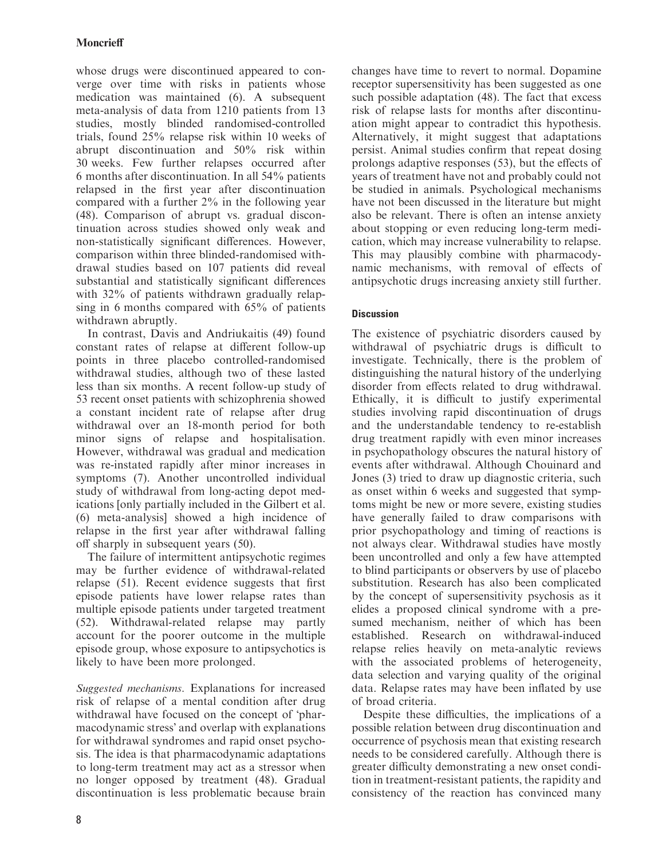whose drugs were discontinued appeared to converge over time with risks in patients whose medication was maintained (6). A subsequent meta-analysis of data from 1210 patients from 13 studies, mostly blinded randomised-controlled trials, found 25% relapse risk within 10 weeks of abrupt discontinuation and 50% risk within 30 weeks. Few further relapses occurred after 6 months after discontinuation. In all 54% patients relapsed in the first year after discontinuation compared with a further 2% in the following year (48). Comparison of abrupt vs. gradual discontinuation across studies showed only weak and non-statistically significant differences. However, comparison within three blinded-randomised withdrawal studies based on 107 patients did reveal substantial and statistically significant differences with 32% of patients withdrawn gradually relapsing in 6 months compared with 65% of patients withdrawn abruptly.

In contrast, Davis and Andriukaitis (49) found constant rates of relapse at different follow-up points in three placebo controlled-randomised withdrawal studies, although two of these lasted less than six months. A recent follow-up study of 53 recent onset patients with schizophrenia showed a constant incident rate of relapse after drug withdrawal over an 18-month period for both minor signs of relapse and hospitalisation. However, withdrawal was gradual and medication was re-instated rapidly after minor increases in symptoms (7). Another uncontrolled individual study of withdrawal from long-acting depot medications [only partially included in the Gilbert et al. (6) meta-analysis] showed a high incidence of relapse in the first year after withdrawal falling off sharply in subsequent years (50).

The failure of intermittent antipsychotic regimes may be further evidence of withdrawal-related relapse (51). Recent evidence suggests that first episode patients have lower relapse rates than multiple episode patients under targeted treatment (52). Withdrawal-related relapse may partly account for the poorer outcome in the multiple episode group, whose exposure to antipsychotics is likely to have been more prolonged.

Suggested mechanisms. Explanations for increased risk of relapse of a mental condition after drug withdrawal have focused on the concept of 'pharmacodynamic stress' and overlap with explanations for withdrawal syndromes and rapid onset psychosis. The idea is that pharmacodynamic adaptations to long-term treatment may act as a stressor when no longer opposed by treatment (48). Gradual discontinuation is less problematic because brain

changes have time to revert to normal. Dopamine receptor supersensitivity has been suggested as one such possible adaptation (48). The fact that excess risk of relapse lasts for months after discontinuation might appear to contradict this hypothesis. Alternatively, it might suggest that adaptations persist. Animal studies confirm that repeat dosing prolongs adaptive responses (53), but the effects of years of treatment have not and probably could not be studied in animals. Psychological mechanisms have not been discussed in the literature but might also be relevant. There is often an intense anxiety about stopping or even reducing long-term medication, which may increase vulnerability to relapse. This may plausibly combine with pharmacodynamic mechanisms, with removal of effects of antipsychotic drugs increasing anxiety still further.

# **Discussion**

The existence of psychiatric disorders caused by withdrawal of psychiatric drugs is difficult to investigate. Technically, there is the problem of distinguishing the natural history of the underlying disorder from effects related to drug withdrawal. Ethically, it is difficult to justify experimental studies involving rapid discontinuation of drugs and the understandable tendency to re-establish drug treatment rapidly with even minor increases in psychopathology obscures the natural history of events after withdrawal. Although Chouinard and Jones (3) tried to draw up diagnostic criteria, such as onset within 6 weeks and suggested that symptoms might be new or more severe, existing studies have generally failed to draw comparisons with prior psychopathology and timing of reactions is not always clear. Withdrawal studies have mostly been uncontrolled and only a few have attempted to blind participants or observers by use of placebo substitution. Research has also been complicated by the concept of supersensitivity psychosis as it elides a proposed clinical syndrome with a presumed mechanism, neither of which has been established. Research on withdrawal-induced relapse relies heavily on meta-analytic reviews with the associated problems of heterogeneity, data selection and varying quality of the original data. Relapse rates may have been inflated by use of broad criteria.

Despite these difficulties, the implications of a possible relation between drug discontinuation and occurrence of psychosis mean that existing research needs to be considered carefully. Although there is greater difficulty demonstrating a new onset condition in treatment-resistant patients, the rapidity and consistency of the reaction has convinced many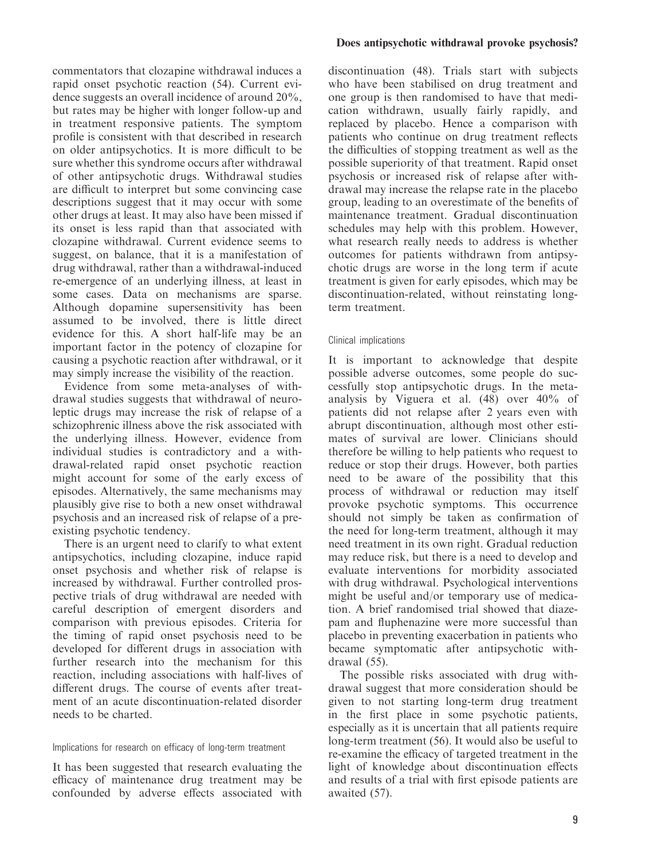commentators that clozapine withdrawal induces a rapid onset psychotic reaction (54). Current evidence suggests an overall incidence of around 20%, but rates may be higher with longer follow-up and in treatment responsive patients. The symptom profile is consistent with that described in research on older antipsychotics. It is more difficult to be sure whether this syndrome occurs after withdrawal of other antipsychotic drugs. Withdrawal studies are difficult to interpret but some convincing case descriptions suggest that it may occur with some other drugs at least. It may also have been missed if its onset is less rapid than that associated with clozapine withdrawal. Current evidence seems to suggest, on balance, that it is a manifestation of drug withdrawal, rather than a withdrawal-induced re-emergence of an underlying illness, at least in some cases. Data on mechanisms are sparse. Although dopamine supersensitivity has been assumed to be involved, there is little direct evidence for this. A short half-life may be an important factor in the potency of clozapine for causing a psychotic reaction after withdrawal, or it may simply increase the visibility of the reaction.

Evidence from some meta-analyses of withdrawal studies suggests that withdrawal of neuroleptic drugs may increase the risk of relapse of a schizophrenic illness above the risk associated with the underlying illness. However, evidence from individual studies is contradictory and a withdrawal-related rapid onset psychotic reaction might account for some of the early excess of episodes. Alternatively, the same mechanisms may plausibly give rise to both a new onset withdrawal psychosis and an increased risk of relapse of a preexisting psychotic tendency.

There is an urgent need to clarify to what extent antipsychotics, including clozapine, induce rapid onset psychosis and whether risk of relapse is increased by withdrawal. Further controlled prospective trials of drug withdrawal are needed with careful description of emergent disorders and comparison with previous episodes. Criteria for the timing of rapid onset psychosis need to be developed for different drugs in association with further research into the mechanism for this reaction, including associations with half-lives of different drugs. The course of events after treatment of an acute discontinuation-related disorder needs to be charted.

#### Implications for research on efficacy of long-term treatment

It has been suggested that research evaluating the efficacy of maintenance drug treatment may be confounded by adverse effects associated with

#### Does antipsychotic withdrawal provoke psychosis?

discontinuation (48). Trials start with subjects who have been stabilised on drug treatment and one group is then randomised to have that medication withdrawn, usually fairly rapidly, and replaced by placebo. Hence a comparison with patients who continue on drug treatment reflects the difficulties of stopping treatment as well as the possible superiority of that treatment. Rapid onset psychosis or increased risk of relapse after withdrawal may increase the relapse rate in the placebo group, leading to an overestimate of the benefits of maintenance treatment. Gradual discontinuation schedules may help with this problem. However, what research really needs to address is whether outcomes for patients withdrawn from antipsychotic drugs are worse in the long term if acute treatment is given for early episodes, which may be discontinuation-related, without reinstating longterm treatment.

#### Clinical implications

It is important to acknowledge that despite possible adverse outcomes, some people do successfully stop antipsychotic drugs. In the metaanalysis by Viguera et al. (48) over 40% of patients did not relapse after 2 years even with abrupt discontinuation, although most other estimates of survival are lower. Clinicians should therefore be willing to help patients who request to reduce or stop their drugs. However, both parties need to be aware of the possibility that this process of withdrawal or reduction may itself provoke psychotic symptoms. This occurrence should not simply be taken as confirmation of the need for long-term treatment, although it may need treatment in its own right. Gradual reduction may reduce risk, but there is a need to develop and evaluate interventions for morbidity associated with drug withdrawal. Psychological interventions might be useful and/or temporary use of medication. A brief randomised trial showed that diazepam and fluphenazine were more successful than placebo in preventing exacerbation in patients who became symptomatic after antipsychotic withdrawal (55).

The possible risks associated with drug withdrawal suggest that more consideration should be given to not starting long-term drug treatment in the first place in some psychotic patients, especially as it is uncertain that all patients require long-term treatment (56). It would also be useful to re-examine the efficacy of targeted treatment in the light of knowledge about discontinuation effects and results of a trial with first episode patients are awaited (57).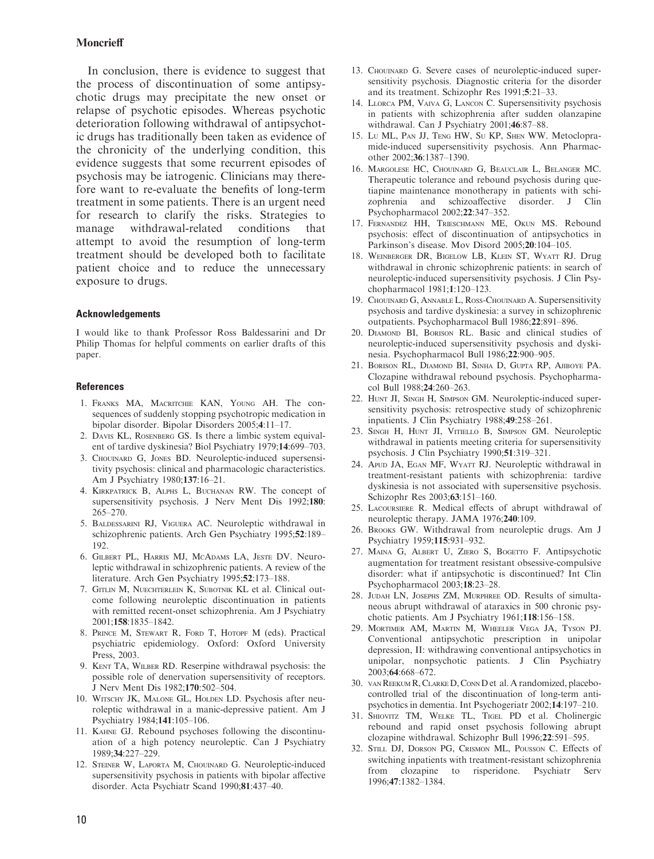### **Moncrieff**

In conclusion, there is evidence to suggest that the process of discontinuation of some antipsychotic drugs may precipitate the new onset or relapse of psychotic episodes. Whereas psychotic deterioration following withdrawal of antipsychotic drugs has traditionally been taken as evidence of the chronicity of the underlying condition, this evidence suggests that some recurrent episodes of psychosis may be iatrogenic. Clinicians may therefore want to re-evaluate the benefits of long-term treatment in some patients. There is an urgent need for research to clarify the risks. Strategies to manage withdrawal-related conditions that attempt to avoid the resumption of long-term treatment should be developed both to facilitate patient choice and to reduce the unnecessary exposure to drugs.

#### Acknowledgements

I would like to thank Professor Ross Baldessarini and Dr Philip Thomas for helpful comments on earlier drafts of this paper.

#### References

- 1. Franks MA, Macritchie KAN, Young AH. The consequences of suddenly stopping psychotropic medication in bipolar disorder. Bipolar Disorders 2005;4:11–17.
- 2. Davis KL, Rosenberg GS. Is there a limbic system equivalent of tardive dyskinesia? Biol Psychiatry 1979;14:699–703.
- 3. Chouinard G, Jones BD. Neuroleptic-induced supersensitivity psychosis: clinical and pharmacologic characteristics. Am J Psychiatry 1980;137:16–21.
- 4. Kirkpatrick B, Alphs L, Buchanan RW. The concept of supersensitivity psychosis. J Nerv Ment Dis 1992;180: 265–270.
- 5. Baldessarini RJ, Viguera AC. Neuroleptic withdrawal in schizophrenic patients. Arch Gen Psychiatry 1995;52:189– 192.
- 6. Gilbert PL, Harris MJ, McAdams LA, Jeste DV. Neuroleptic withdrawal in schizophrenic patients. A review of the literature. Arch Gen Psychiatry 1995;52:173–188.
- 7. Gitlin M, Nuechterlein K, Subotnik KL et al. Clinical outcome following neuroleptic discontinuation in patients with remitted recent-onset schizophrenia. Am J Psychiatry 2001;158:1835–1842.
- 8. PRINCE M, STEWART R, FORD T, HOTOPF M (eds). Practical psychiatric epidemiology. Oxford: Oxford University Press, 2003.
- 9. Kent TA, Wilber RD. Reserpine withdrawal psychosis: the possible role of denervation supersensitivity of receptors. J Nerv Ment Dis 1982;170:502–504.
- 10. WITSCHY JK, MALONE GL, HOLDEN LD. Psychosis after neuroleptic withdrawal in a manic-depressive patient. Am J Psychiatry 1984;141:105–106.
- 11. Kahne GJ. Rebound psychoses following the discontinuation of a high potency neuroleptic. Can J Psychiatry 1989;34:227–229.
- 12. STEINER W, LAPORTA M, CHOUINARD G. Neuroleptic-induced supersensitivity psychosis in patients with bipolar affective disorder. Acta Psychiatr Scand 1990;81:437–40.
- 13. CHOUINARD G. Severe cases of neuroleptic-induced supersensitivity psychosis. Diagnostic criteria for the disorder and its treatment. Schizophr Res 1991;5:21–33.
- 14. Llorca PM, Vaiva G, Lancon C. Supersensitivity psychosis in patients with schizophrenia after sudden olanzapine withdrawal. Can J Psychiatry 2001;46:87–88.
- 15. Lu ML, Pan JJ, Teng HW, Su KP, Shen WW. Metoclopramide-induced supersensitivity psychosis. Ann Pharmacother 2002;36:1387–1390.
- 16. Margolese HC, Chouinard G, Beauclair L, Belanger MC. Therapeutic tolerance and rebound psychosis during quetiapine maintenance monotherapy in patients with schizophrenia and schizoaffective disorder. J Clin Psychopharmacol 2002;22:347–352.
- 17. Fernandez HH, Trieschmann ME, Okun MS. Rebound psychosis: effect of discontinuation of antipsychotics in Parkinson's disease. Mov Disord 2005;20:104–105.
- 18. Weinberger DR, Bigelow LB, Klein ST, Wyatt RJ. Drug withdrawal in chronic schizophrenic patients: in search of neuroleptic-induced supersensitivity psychosis. J Clin Psychopharmacol 1981;1:120–123.
- 19. Chouinard G, Annable L, Ross-Chouinard A. Supersensitivity psychosis and tardive dyskinesia: a survey in schizophrenic outpatients. Psychopharmacol Bull 1986;22:891–896.
- 20. Diamond BI, Borison RL. Basic and clinical studies of neuroleptic-induced supersensitivity psychosis and dyskinesia. Psychopharmacol Bull 1986;22:900–905.
- 21. Borison RL, Diamond BI, Sinha D, Gupta RP, Ajiboye PA. Clozapine withdrawal rebound psychosis. Psychopharmacol Bull 1988;24:260–263.
- 22. Hunt JI, Singh H, Simpson GM. Neuroleptic-induced supersensitivity psychosis: retrospective study of schizophrenic inpatients. J Clin Psychiatry 1988;49:258–261.
- 23. Singh H, Hunt JI, Vitiello B, Simpson GM. Neuroleptic withdrawal in patients meeting criteria for supersensitivity psychosis. J Clin Psychiatry 1990;51:319–321.
- 24. Apud JA, Egan MF, Wyatt RJ. Neuroleptic withdrawal in treatment-resistant patients with schizophrenia: tardive dyskinesia is not associated with supersensitive psychosis. Schizophr Res 2003;63:151–160.
- 25. Lacoursiere R. Medical effects of abrupt withdrawal of neuroleptic therapy. JAMA 1976;240:109.
- 26. Brooks GW. Withdrawal from neuroleptic drugs. Am J Psychiatry 1959;115:931–932.
- 27. MAINA G, ALBERT U, ZIERO S, BOGETTO F. Antipsychotic augmentation for treatment resistant obsessive-compulsive disorder: what if antipsychotic is discontinued? Int Clin Psychopharmacol 2003;18:23–28.
- 28. Judah LN, Josephs ZM, Murphree OD. Results of simultaneous abrupt withdrawal of ataraxics in 500 chronic psychotic patients. Am J Psychiatry 1961;118:156–158.
- 29. Mortimer AM, Martin M, Wheeler Vega JA, Tyson PJ. Conventional antipsychotic prescription in unipolar depression, II: withdrawing conventional antipsychotics in unipolar, nonpsychotic patients. J Clin Psychiatry 2003;64:668–672.
- 30. van Reekum R,Clarke D,Conn D et al. A randomized, placebocontrolled trial of the discontinuation of long-term antipsychotics in dementia. Int Psychogeriatr 2002;14:197–210.
- 31. Shiovitz TM, Welke TL, Tigel PD et al. Cholinergic rebound and rapid onset psychosis following abrupt clozapine withdrawal. Schizophr Bull 1996;22:591–595.
- 32. Still DJ, Dorson PG, Crismon ML, Pousson C. Effects of switching inpatients with treatment-resistant schizophrenia from clozapine to risperidone. Psychiatr Serv 1996;47:1382–1384.